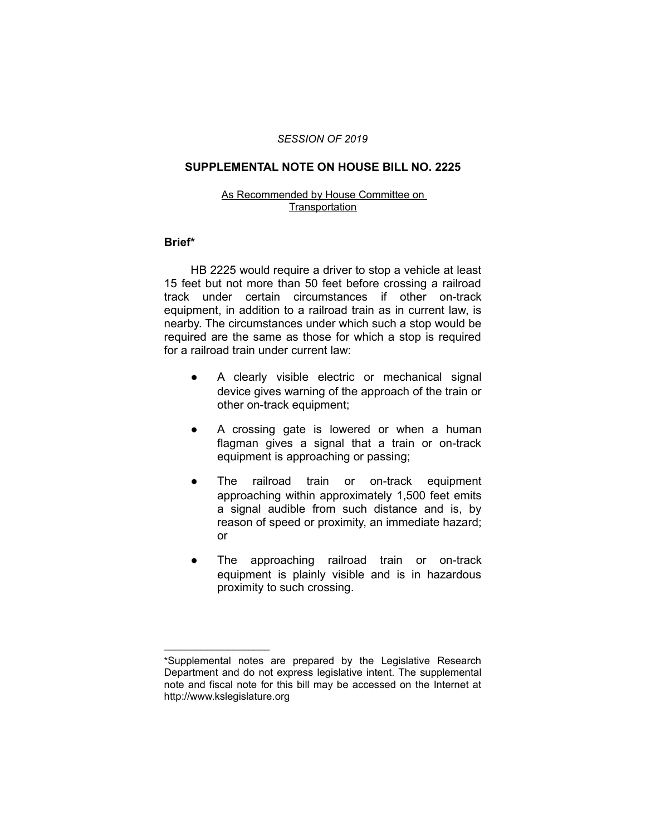# *SESSION OF 2019*

### **SUPPLEMENTAL NOTE ON HOUSE BILL NO. 2225**

#### As Recommended by House Committee on **Transportation**

# **Brief\***

HB 2225 would require a driver to stop a vehicle at least 15 feet but not more than 50 feet before crossing a railroad track under certain circumstances if other on-track equipment, in addition to a railroad train as in current law, is nearby. The circumstances under which such a stop would be required are the same as those for which a stop is required for a railroad train under current law:

- A clearly visible electric or mechanical signal device gives warning of the approach of the train or other on-track equipment;
- A crossing gate is lowered or when a human flagman gives a signal that a train or on-track equipment is approaching or passing;
- The railroad train or on-track equipment approaching within approximately 1,500 feet emits a signal audible from such distance and is, by reason of speed or proximity, an immediate hazard; or
- The approaching railroad train or on-track equipment is plainly visible and is in hazardous proximity to such crossing.

 $\overline{\phantom{a}}$  , where  $\overline{\phantom{a}}$  , where  $\overline{\phantom{a}}$ 

<sup>\*</sup>Supplemental notes are prepared by the Legislative Research Department and do not express legislative intent. The supplemental note and fiscal note for this bill may be accessed on the Internet at http://www.kslegislature.org